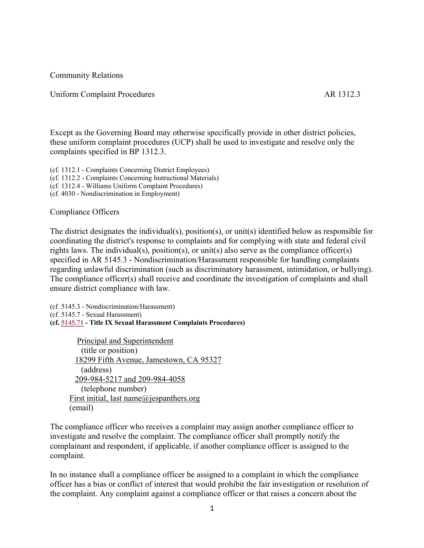Community Relations

#### Uniform Complaint Procedures AR 1312.3

Except as the Governing Board may otherwise specifically provide in other district policies, these uniform complaint procedures (UCP) shall be used to investigate and resolve only the complaints specified in BP 1312.3.

(cf. 1312.1 - Complaints Concerning District Employees) (cf. 1312.2 - Complaints Concerning Instructional Materials) (cf. 1312.4 - Williams Uniform Complaint Procedures) (cf. 4030 - Nondiscrimination in Employment)

#### Compliance Officers

The district designates the individual(s), position(s), or unit(s) identified below as responsible for coordinating the district's response to complaints and for complying with state and federal civil rights laws. The individual(s), position(s), or unit(s) also serve as the compliance officer(s) specified in AR 5145.3 - Nondiscrimination/Harassment responsible for handling complaints regarding unlawful discrimination (such as discriminatory harassment, intimidation, or bullying). The compliance officer(s) shall receive and coordinate the investigation of complaints and shall ensure district compliance with law.

(cf. 5145.3 - Nondiscrimination/Harassment) (cf. 5145.7 - Sexual Harassment) **(cf. 5145.71 - Title IX Sexual Harassment Complaints Procedures)**

Principal and Superintendent (title or position) 18299 Fifth Avenue, Jamestown, CA 95327 (address) 209-984-5217 and 209-984-4058 (telephone number) First initial, last name@jespanthers.org (email)

The compliance officer who receives a complaint may assign another compliance officer to investigate and resolve the complaint. The compliance officer shall promptly notify the complainant and respondent, if applicable, if another compliance officer is assigned to the complaint.

In no instance shall a compliance officer be assigned to a complaint in which the compliance officer has a bias or conflict of interest that would prohibit the fair investigation or resolution of the complaint. Any complaint against a compliance officer or that raises a concern about the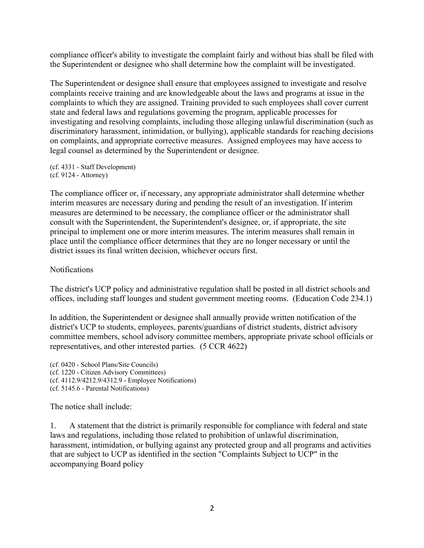compliance officer's ability to investigate the complaint fairly and without bias shall be filed with the Superintendent or designee who shall determine how the complaint will be investigated.

The Superintendent or designee shall ensure that employees assigned to investigate and resolve complaints receive training and are knowledgeable about the laws and programs at issue in the complaints to which they are assigned. Training provided to such employees shall cover current state and federal laws and regulations governing the program, applicable processes for investigating and resolving complaints, including those alleging unlawful discrimination (such as discriminatory harassment, intimidation, or bullying), applicable standards for reaching decisions on complaints, and appropriate corrective measures. Assigned employees may have access to legal counsel as determined by the Superintendent or designee.

(cf. 4331 - Staff Development) (cf. 9124 - Attorney)

The compliance officer or, if necessary, any appropriate administrator shall determine whether interim measures are necessary during and pending the result of an investigation. If interim measures are determined to be necessary, the compliance officer or the administrator shall consult with the Superintendent, the Superintendent's designee, or, if appropriate, the site principal to implement one or more interim measures. The interim measures shall remain in place until the compliance officer determines that they are no longer necessary or until the district issues its final written decision, whichever occurs first.

#### Notifications

The district's UCP policy and administrative regulation shall be posted in all district schools and offices, including staff lounges and student government meeting rooms. (Education Code 234.1)

In addition, the Superintendent or designee shall annually provide written notification of the district's UCP to students, employees, parents/guardians of district students, district advisory committee members, school advisory committee members, appropriate private school officials or representatives, and other interested parties. (5 CCR 4622)

(cf. 0420 - School Plans/Site Councils) (cf. 1220 - Citizen Advisory Committees) (cf. 4112.9/4212.9/4312.9 - Employee Notifications) (cf. 5145.6 - Parental Notifications)

The notice shall include:

1. A statement that the district is primarily responsible for compliance with federal and state laws and regulations, including those related to prohibition of unlawful discrimination, harassment, intimidation, or bullying against any protected group and all programs and activities that are subject to UCP as identified in the section "Complaints Subject to UCP" in the accompanying Board policy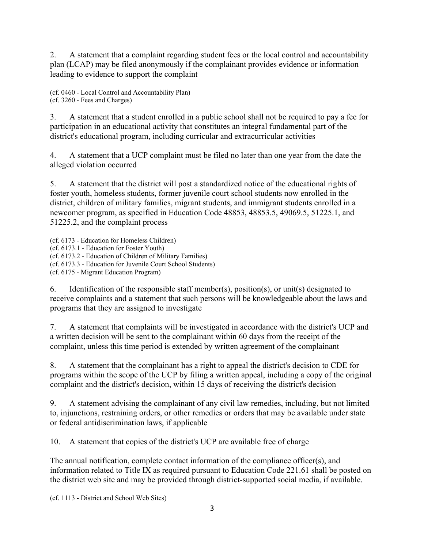2. A statement that a complaint regarding student fees or the local control and accountability plan (LCAP) may be filed anonymously if the complainant provides evidence or information leading to evidence to support the complaint

(cf. 0460 - Local Control and Accountability Plan) (cf. 3260 - Fees and Charges)

3. A statement that a student enrolled in a public school shall not be required to pay a fee for participation in an educational activity that constitutes an integral fundamental part of the district's educational program, including curricular and extracurricular activities

4. A statement that a UCP complaint must be filed no later than one year from the date the alleged violation occurred

5. A statement that the district will post a standardized notice of the educational rights of foster youth, homeless students, former juvenile court school students now enrolled in the district, children of military families, migrant students, and immigrant students enrolled in a newcomer program, as specified in Education Code 48853, 48853.5, 49069.5, 51225.1, and 51225.2, and the complaint process

(cf. 6173 - Education for Homeless Children) (cf. 6173.1 - Education for Foster Youth) (cf. 6173.2 - Education of Children of Military Families) (cf. 6173.3 - Education for Juvenile Court School Students) (cf. 6175 - Migrant Education Program)

6. Identification of the responsible staff member(s), position(s), or unit(s) designated to receive complaints and a statement that such persons will be knowledgeable about the laws and programs that they are assigned to investigate

7. A statement that complaints will be investigated in accordance with the district's UCP and a written decision will be sent to the complainant within 60 days from the receipt of the complaint, unless this time period is extended by written agreement of the complainant

8. A statement that the complainant has a right to appeal the district's decision to CDE for programs within the scope of the UCP by filing a written appeal, including a copy of the original complaint and the district's decision, within 15 days of receiving the district's decision

9. A statement advising the complainant of any civil law remedies, including, but not limited to, injunctions, restraining orders, or other remedies or orders that may be available under state or federal antidiscrimination laws, if applicable

10. A statement that copies of the district's UCP are available free of charge

The annual notification, complete contact information of the compliance officer(s), and information related to Title IX as required pursuant to Education Code 221.61 shall be posted on the district web site and may be provided through district-supported social media, if available.

(cf. 1113 - District and School Web Sites)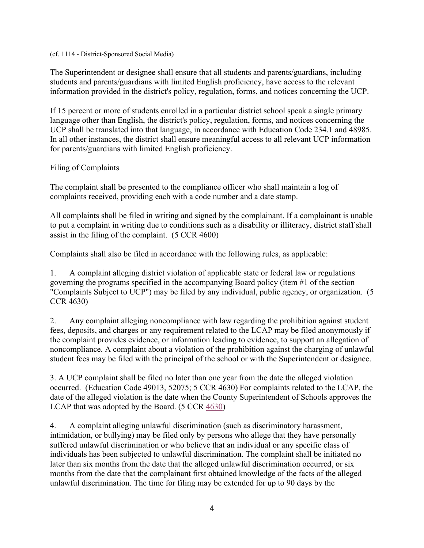#### (cf. 1114 - District-Sponsored Social Media)

The Superintendent or designee shall ensure that all students and parents/guardians, including students and parents/guardians with limited English proficiency, have access to the relevant information provided in the district's policy, regulation, forms, and notices concerning the UCP.

If 15 percent or more of students enrolled in a particular district school speak a single primary language other than English, the district's policy, regulation, forms, and notices concerning the UCP shall be translated into that language, in accordance with Education Code 234.1 and 48985. In all other instances, the district shall ensure meaningful access to all relevant UCP information for parents/guardians with limited English proficiency.

### Filing of Complaints

The complaint shall be presented to the compliance officer who shall maintain a log of complaints received, providing each with a code number and a date stamp.

All complaints shall be filed in writing and signed by the complainant. If a complainant is unable to put a complaint in writing due to conditions such as a disability or illiteracy, district staff shall assist in the filing of the complaint. (5 CCR 4600)

Complaints shall also be filed in accordance with the following rules, as applicable:

1. A complaint alleging district violation of applicable state or federal law or regulations governing the programs specified in the accompanying Board policy (item #1 of the section "Complaints Subject to UCP") may be filed by any individual, public agency, or organization. (5 CCR 4630)

2. Any complaint alleging noncompliance with law regarding the prohibition against student fees, deposits, and charges or any requirement related to the LCAP may be filed anonymously if the complaint provides evidence, or information leading to evidence, to support an allegation of noncompliance. A complaint about a violation of the prohibition against the charging of unlawful student fees may be filed with the principal of the school or with the Superintendent or designee.

3. A UCP complaint shall be filed no later than one year from the date the alleged violation occurred. (Education Code 49013, 52075; 5 CCR 4630) For complaints related to the LCAP, the date of the alleged violation is the date when the County Superintendent of Schools approves the LCAP that was adopted by the Board. (5 CCR 4630)

4. A complaint alleging unlawful discrimination (such as discriminatory harassment, intimidation, or bullying) may be filed only by persons who allege that they have personally suffered unlawful discrimination or who believe that an individual or any specific class of individuals has been subjected to unlawful discrimination. The complaint shall be initiated no later than six months from the date that the alleged unlawful discrimination occurred, or six months from the date that the complainant first obtained knowledge of the facts of the alleged unlawful discrimination. The time for filing may be extended for up to 90 days by the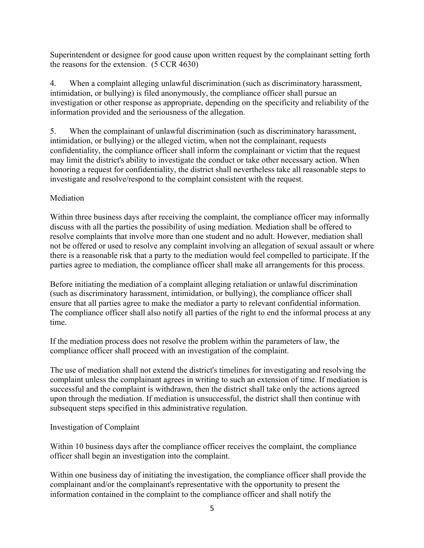Superintendent or designee for good cause upon written request by the complainant setting forth the reasons for the extension. (5 CCR 4630)

4. When a complaint alleging unlawful discrimination (such as discriminatory harassment, intimidation, or bullying) is filed anonymously, the compliance officer shall pursue an investigation or other response as appropriate, depending on the specificity and reliability of the information provided and the seriousness of the allegation.

5. When the complainant of unlawful discrimination (such as discriminatory harassment, intimidation, or bullying) or the alleged victim, when not the complainant, requests confidentiality, the compliance officer shall inform the complainant or victim that the request may limit the district's ability to investigate the conduct or take other necessary action. When honoring a request for confidentiality, the district shall nevertheless take all reasonable steps to investigate and resolve/respond to the complaint consistent with the request.

## Mediation

Within three business days after receiving the complaint, the compliance officer may informally discuss with all the parties the possibility of using mediation. Mediation shall be offered to resolve complaints that involve more than one student and no adult. However, mediation shall not be offered or used to resolve any complaint involving an allegation of sexual assault or where there is a reasonable risk that a party to the mediation would feel compelled to participate. If the parties agree to mediation, the compliance officer shall make all arrangements for this process.

Before initiating the mediation of a complaint alleging retaliation or unlawful discrimination (such as discriminatory harassment, intimidation, or bullying), the compliance officer shall ensure that all parties agree to make the mediator a party to relevant confidential information. The compliance officer shall also notify all parties of the right to end the informal process at any time.

If the mediation process does not resolve the problem within the parameters of law, the compliance officer shall proceed with an investigation of the complaint.

The use of mediation shall not extend the district's timelines for investigating and resolving the complaint unless the complainant agrees in writing to such an extension of time. If mediation is successful and the complaint is withdrawn, then the district shall take only the actions agreed upon through the mediation. If mediation is unsuccessful, the district shall then continue with subsequent steps specified in this administrative regulation.

## Investigation of Complaint

Within 10 business days after the compliance officer receives the complaint, the compliance officer shall begin an investigation into the complaint.

Within one business day of initiating the investigation, the compliance officer shall provide the complainant and/or the complainant's representative with the opportunity to present the information contained in the complaint to the compliance officer and shall notify the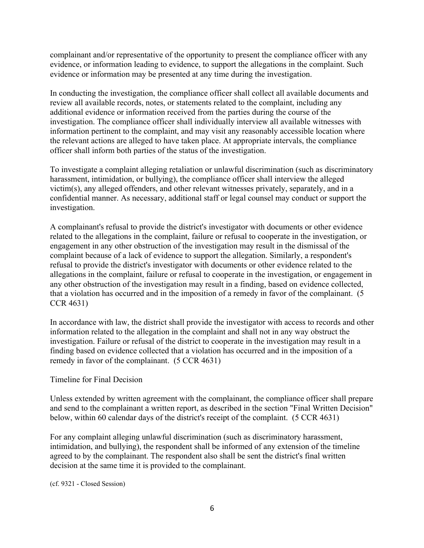complainant and/or representative of the opportunity to present the compliance officer with any evidence, or information leading to evidence, to support the allegations in the complaint. Such evidence or information may be presented at any time during the investigation.

In conducting the investigation, the compliance officer shall collect all available documents and review all available records, notes, or statements related to the complaint, including any additional evidence or information received from the parties during the course of the investigation. The compliance officer shall individually interview all available witnesses with information pertinent to the complaint, and may visit any reasonably accessible location where the relevant actions are alleged to have taken place. At appropriate intervals, the compliance officer shall inform both parties of the status of the investigation.

To investigate a complaint alleging retaliation or unlawful discrimination (such as discriminatory harassment, intimidation, or bullying), the compliance officer shall interview the alleged victim(s), any alleged offenders, and other relevant witnesses privately, separately, and in a confidential manner. As necessary, additional staff or legal counsel may conduct or support the investigation.

A complainant's refusal to provide the district's investigator with documents or other evidence related to the allegations in the complaint, failure or refusal to cooperate in the investigation, or engagement in any other obstruction of the investigation may result in the dismissal of the complaint because of a lack of evidence to support the allegation. Similarly, a respondent's refusal to provide the district's investigator with documents or other evidence related to the allegations in the complaint, failure or refusal to cooperate in the investigation, or engagement in any other obstruction of the investigation may result in a finding, based on evidence collected, that a violation has occurred and in the imposition of a remedy in favor of the complainant. (5 CCR 4631)

In accordance with law, the district shall provide the investigator with access to records and other information related to the allegation in the complaint and shall not in any way obstruct the investigation. Failure or refusal of the district to cooperate in the investigation may result in a finding based on evidence collected that a violation has occurred and in the imposition of a remedy in favor of the complainant. (5 CCR 4631)

### Timeline for Final Decision

Unless extended by written agreement with the complainant, the compliance officer shall prepare and send to the complainant a written report, as described in the section "Final Written Decision" below, within 60 calendar days of the district's receipt of the complaint. (5 CCR 4631)

For any complaint alleging unlawful discrimination (such as discriminatory harassment, intimidation, and bullying), the respondent shall be informed of any extension of the timeline agreed to by the complainant. The respondent also shall be sent the district's final written decision at the same time it is provided to the complainant.

(cf. 9321 - Closed Session)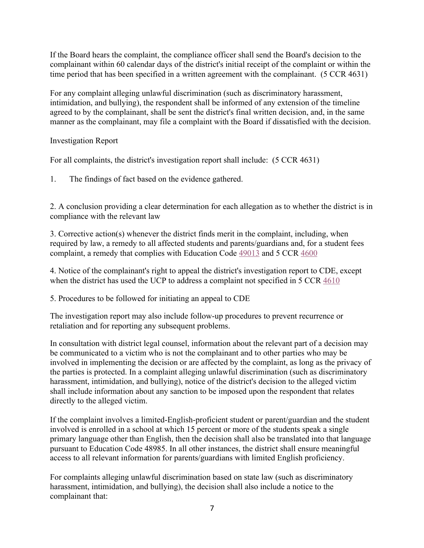If the Board hears the complaint, the compliance officer shall send the Board's decision to the complainant within 60 calendar days of the district's initial receipt of the complaint or within the time period that has been specified in a written agreement with the complainant. (5 CCR 4631)

For any complaint alleging unlawful discrimination (such as discriminatory harassment, intimidation, and bullying), the respondent shall be informed of any extension of the timeline agreed to by the complainant, shall be sent the district's final written decision, and, in the same manner as the complainant, may file a complaint with the Board if dissatisfied with the decision.

Investigation Report

For all complaints, the district's investigation report shall include: (5 CCR 4631)

1. The findings of fact based on the evidence gathered.

2. A conclusion providing a clear determination for each allegation as to whether the district is in compliance with the relevant law

3. Corrective action(s) whenever the district finds merit in the complaint, including, when required by law, a remedy to all affected students and parents/guardians and, for a student fees complaint, a remedy that complies with Education Code 49013 and 5 CCR 4600

4. Notice of the complainant's right to appeal the district's investigation report to CDE, except when the district has used the UCP to address a complaint not specified in 5 CCR 4610

5. Procedures to be followed for initiating an appeal to CDE

The investigation report may also include follow-up procedures to prevent recurrence or retaliation and for reporting any subsequent problems.

In consultation with district legal counsel, information about the relevant part of a decision may be communicated to a victim who is not the complainant and to other parties who may be involved in implementing the decision or are affected by the complaint, as long as the privacy of the parties is protected. In a complaint alleging unlawful discrimination (such as discriminatory harassment, intimidation, and bullying), notice of the district's decision to the alleged victim shall include information about any sanction to be imposed upon the respondent that relates directly to the alleged victim.

If the complaint involves a limited-English-proficient student or parent/guardian and the student involved is enrolled in a school at which 15 percent or more of the students speak a single primary language other than English, then the decision shall also be translated into that language pursuant to Education Code 48985. In all other instances, the district shall ensure meaningful access to all relevant information for parents/guardians with limited English proficiency.

For complaints alleging unlawful discrimination based on state law (such as discriminatory harassment, intimidation, and bullying), the decision shall also include a notice to the complainant that: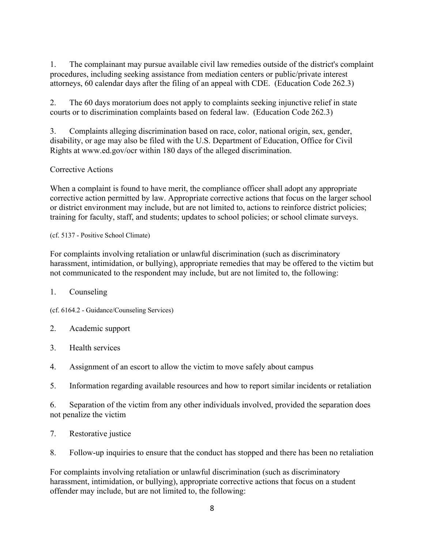1. The complainant may pursue available civil law remedies outside of the district's complaint procedures, including seeking assistance from mediation centers or public/private interest attorneys, 60 calendar days after the filing of an appeal with CDE. (Education Code 262.3)

2. The 60 days moratorium does not apply to complaints seeking injunctive relief in state courts or to discrimination complaints based on federal law. (Education Code 262.3)

3. Complaints alleging discrimination based on race, color, national origin, sex, gender, disability, or age may also be filed with the U.S. Department of Education, Office for Civil Rights at www.ed.gov/ocr within 180 days of the alleged discrimination.

# Corrective Actions

When a complaint is found to have merit, the compliance officer shall adopt any appropriate corrective action permitted by law. Appropriate corrective actions that focus on the larger school or district environment may include, but are not limited to, actions to reinforce district policies; training for faculty, staff, and students; updates to school policies; or school climate surveys.

### (cf. 5137 - Positive School Climate)

For complaints involving retaliation or unlawful discrimination (such as discriminatory harassment, intimidation, or bullying), appropriate remedies that may be offered to the victim but not communicated to the respondent may include, but are not limited to, the following:

## 1. Counseling

(cf. 6164.2 - Guidance/Counseling Services)

## 2. Academic support

- 3. Health services
- 4. Assignment of an escort to allow the victim to move safely about campus
- 5. Information regarding available resources and how to report similar incidents or retaliation

6. Separation of the victim from any other individuals involved, provided the separation does not penalize the victim

- 7. Restorative justice
- 8. Follow-up inquiries to ensure that the conduct has stopped and there has been no retaliation

For complaints involving retaliation or unlawful discrimination (such as discriminatory harassment, intimidation, or bullying), appropriate corrective actions that focus on a student offender may include, but are not limited to, the following: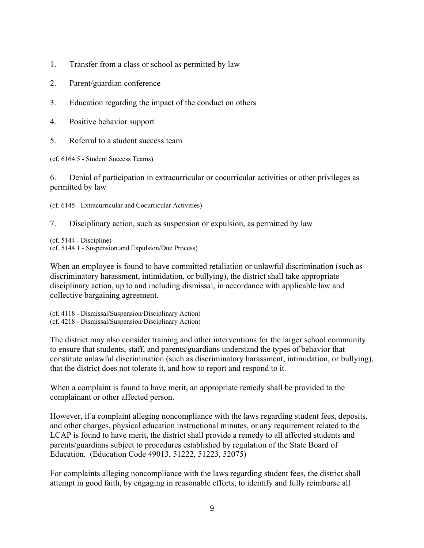- 1. Transfer from a class or school as permitted by law
- 2. Parent/guardian conference
- 3. Education regarding the impact of the conduct on others
- 4. Positive behavior support
- 5. Referral to a student success team

(cf. 6164.5 - Student Success Teams)

6. Denial of participation in extracurricular or cocurricular activities or other privileges as permitted by law

(cf. 6145 - Extracurricular and Cocurricular Activities)

7. Disciplinary action, such as suspension or expulsion, as permitted by law

(cf. 5144 - Discipline) (cf. 5144.1 - Suspension and Expulsion/Due Process)

When an employee is found to have committed retaliation or unlawful discrimination (such as discriminatory harassment, intimidation, or bullying), the district shall take appropriate disciplinary action, up to and including dismissal, in accordance with applicable law and collective bargaining agreement.

(cf. 4118 - Dismissal/Suspension/Disciplinary Action) (cf. 4218 - Dismissal/Suspension/Disciplinary Action)

The district may also consider training and other interventions for the larger school community to ensure that students, staff, and parents/guardians understand the types of behavior that constitute unlawful discrimination (such as discriminatory harassment, intimidation, or bullying), that the district does not tolerate it, and how to report and respond to it.

When a complaint is found to have merit, an appropriate remedy shall be provided to the complainant or other affected person.

However, if a complaint alleging noncompliance with the laws regarding student fees, deposits, and other charges, physical education instructional minutes, or any requirement related to the LCAP is found to have merit, the district shall provide a remedy to all affected students and parents/guardians subject to procedures established by regulation of the State Board of Education. (Education Code 49013, 51222, 51223, 52075)

For complaints alleging noncompliance with the laws regarding student fees, the district shall attempt in good faith, by engaging in reasonable efforts, to identify and fully reimburse all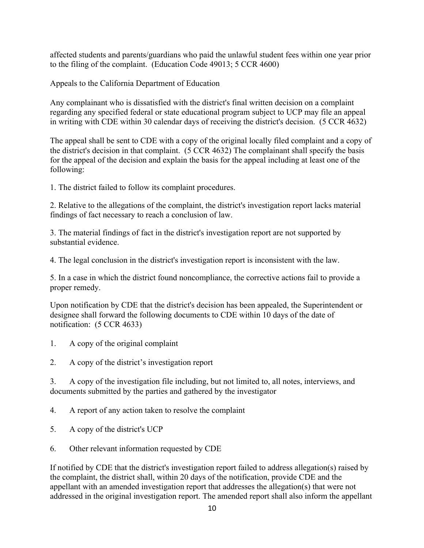affected students and parents/guardians who paid the unlawful student fees within one year prior to the filing of the complaint. (Education Code 49013; 5 CCR 4600)

Appeals to the California Department of Education

Any complainant who is dissatisfied with the district's final written decision on a complaint regarding any specified federal or state educational program subject to UCP may file an appeal in writing with CDE within 30 calendar days of receiving the district's decision. (5 CCR 4632)

The appeal shall be sent to CDE with a copy of the original locally filed complaint and a copy of the district's decision in that complaint. (5 CCR 4632) The complainant shall specify the basis for the appeal of the decision and explain the basis for the appeal including at least one of the following:

1. The district failed to follow its complaint procedures.

2. Relative to the allegations of the complaint, the district's investigation report lacks material findings of fact necessary to reach a conclusion of law.

3. The material findings of fact in the district's investigation report are not supported by substantial evidence.

4. The legal conclusion in the district's investigation report is inconsistent with the law.

5. In a case in which the district found noncompliance, the corrective actions fail to provide a proper remedy.

Upon notification by CDE that the district's decision has been appealed, the Superintendent or designee shall forward the following documents to CDE within 10 days of the date of notification: (5 CCR 4633)

- 1. A copy of the original complaint
- 2. A copy of the district's investigation report

3. A copy of the investigation file including, but not limited to, all notes, interviews, and documents submitted by the parties and gathered by the investigator

4. A report of any action taken to resolve the complaint

- 5. A copy of the district's UCP
- 6. Other relevant information requested by CDE

If notified by CDE that the district's investigation report failed to address allegation(s) raised by the complaint, the district shall, within 20 days of the notification, provide CDE and the appellant with an amended investigation report that addresses the allegation(s) that were not addressed in the original investigation report. The amended report shall also inform the appellant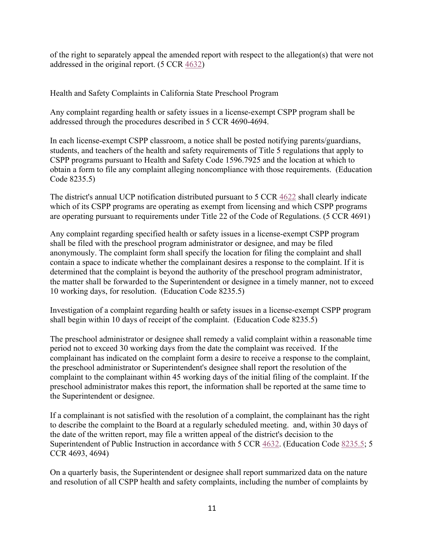of the right to separately appeal the amended report with respect to the allegation(s) that were not addressed in the original report. (5 CCR 4632)

Health and Safety Complaints in California State Preschool Program

Any complaint regarding health or safety issues in a license-exempt CSPP program shall be addressed through the procedures described in 5 CCR 4690-4694.

In each license-exempt CSPP classroom, a notice shall be posted notifying parents/guardians, students, and teachers of the health and safety requirements of Title 5 regulations that apply to CSPP programs pursuant to Health and Safety Code 1596.7925 and the location at which to obtain a form to file any complaint alleging noncompliance with those requirements. (Education Code 8235.5)

The district's annual UCP notification distributed pursuant to 5 CCR 4622 shall clearly indicate which of its CSPP programs are operating as exempt from licensing and which CSPP programs are operating pursuant to requirements under Title 22 of the Code of Regulations. (5 CCR 4691)

Any complaint regarding specified health or safety issues in a license-exempt CSPP program shall be filed with the preschool program administrator or designee, and may be filed anonymously. The complaint form shall specify the location for filing the complaint and shall contain a space to indicate whether the complainant desires a response to the complaint. If it is determined that the complaint is beyond the authority of the preschool program administrator, the matter shall be forwarded to the Superintendent or designee in a timely manner, not to exceed 10 working days, for resolution. (Education Code 8235.5)

Investigation of a complaint regarding health or safety issues in a license-exempt CSPP program shall begin within 10 days of receipt of the complaint. (Education Code 8235.5)

The preschool administrator or designee shall remedy a valid complaint within a reasonable time period not to exceed 30 working days from the date the complaint was received. If the complainant has indicated on the complaint form a desire to receive a response to the complaint, the preschool administrator or Superintendent's designee shall report the resolution of the complaint to the complainant within 45 working days of the initial filing of the complaint. If the preschool administrator makes this report, the information shall be reported at the same time to the Superintendent or designee.

If a complainant is not satisfied with the resolution of a complaint, the complainant has the right to describe the complaint to the Board at a regularly scheduled meeting. and, within 30 days of the date of the written report, may file a written appeal of the district's decision to the Superintendent of Public Instruction in accordance with 5 CCR 4632. (Education Code 8235.5; 5 CCR 4693, 4694)

On a quarterly basis, the Superintendent or designee shall report summarized data on the nature and resolution of all CSPP health and safety complaints, including the number of complaints by